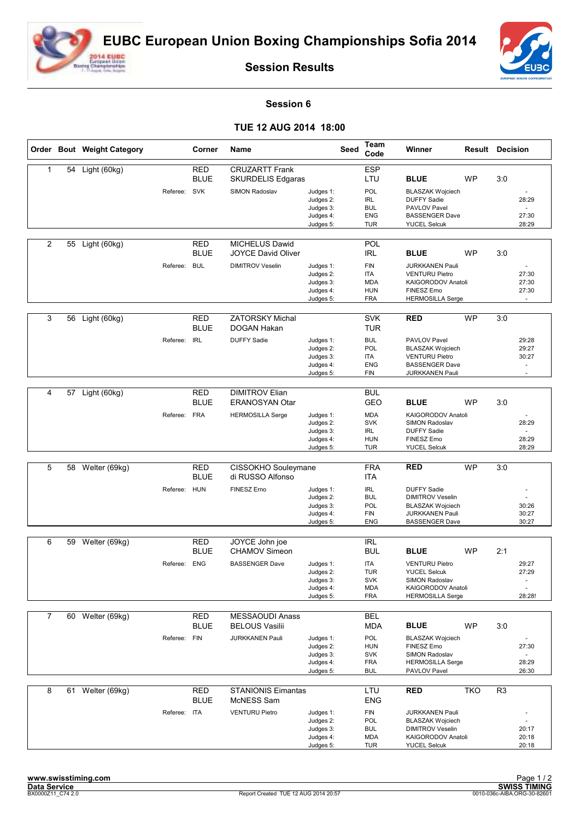



**Session Results**

## **Session 6**

## **TUE 12 AUG 2014 18:00**

|                |    | Order Bout Weight Category |              | Corner                    | Name                                              |                                                               | Seed | Team<br>Code                                                       | Winner                                                                                                              | <b>Result Decision</b> |                |                                                               |
|----------------|----|----------------------------|--------------|---------------------------|---------------------------------------------------|---------------------------------------------------------------|------|--------------------------------------------------------------------|---------------------------------------------------------------------------------------------------------------------|------------------------|----------------|---------------------------------------------------------------|
| 1              | 54 | Light (60kg)               |              | <b>RED</b><br><b>BLUE</b> | <b>CRUZARTT Frank</b><br><b>SKURDELIS Edgaras</b> |                                                               |      | <b>ESP</b><br>LTU                                                  | <b>BLUE</b>                                                                                                         | <b>WP</b>              | 3:0            |                                                               |
|                |    |                            | Referee: SVK |                           | SIMON Radoslav                                    | Judges 1:<br>Judges 2:<br>Judges 3:<br>Judges 4:<br>Judges 5: |      | POL<br><b>IRL</b><br><b>BUL</b><br><b>ENG</b><br><b>TUR</b>        | <b>BLASZAK Wojciech</b><br><b>DUFFY Sadie</b><br>PAVLOV Pavel<br><b>BASSENGER Dave</b><br><b>YUCEL Selcuk</b>       |                        |                | 28:29<br>27:30<br>28:29                                       |
| $\overline{2}$ | 55 | Light (60kg)               |              | <b>RED</b><br><b>BLUE</b> | MICHELUS Dawid<br><b>JOYCE David Oliver</b>       |                                                               |      | POL<br><b>IRL</b>                                                  | <b>BLUE</b>                                                                                                         | <b>WP</b>              | 3:0            |                                                               |
|                |    |                            | Referee:     | <b>BUL</b>                | <b>DIMITROV Veselin</b>                           | Judges 1:<br>Judges 2:<br>Judges 3:<br>Judges 4:<br>Judges 5: |      | <b>FIN</b><br><b>ITA</b><br><b>MDA</b><br><b>HUN</b><br><b>FRA</b> | <b>JURKKANEN Pauli</b><br><b>VENTURU Pietro</b><br>KAIGORODOV Anatoli<br>FINESZ Erno<br><b>HERMOSILLA Serge</b>     |                        |                | 27:30<br>27:30<br>27:30                                       |
| 3              | 56 | Light (60kg)               |              | <b>RED</b><br><b>BLUE</b> | <b>ZATORSKY Michal</b><br>DOGAN Hakan             |                                                               |      | <b>SVK</b><br>TUR                                                  | <b>RED</b>                                                                                                          | <b>WP</b>              | 3:0            |                                                               |
|                |    |                            | Referee:     | <b>IRL</b>                | <b>DUFFY Sadie</b>                                | Judges 1:<br>Judges 2:<br>Judges 3:<br>Judges 4:<br>Judges 5: |      | <b>BUL</b><br>POL<br><b>ITA</b><br><b>ENG</b><br><b>FIN</b>        | PAVLOV Pavel<br><b>BLASZAK Wojciech</b><br><b>VENTURU Pietro</b><br><b>BASSENGER Dave</b><br><b>JURKKANEN Pauli</b> |                        |                | 29:28<br>29:27<br>30:27<br>$\overline{\phantom{a}}$<br>$\sim$ |
|                |    |                            |              |                           |                                                   |                                                               |      |                                                                    |                                                                                                                     |                        |                |                                                               |
| $\overline{4}$ | 57 | Light (60kg)               |              | <b>RED</b><br><b>BLUE</b> | <b>DIMITROV Elian</b><br><b>ERANOSYAN Otar</b>    |                                                               |      | <b>BUL</b><br><b>GEO</b>                                           | <b>BLUE</b>                                                                                                         | <b>WP</b>              | 3:0            |                                                               |
|                |    |                            | Referee: FRA |                           | <b>HERMOSILLA Serge</b>                           | Judges 1:<br>Judges 2:<br>Judges 3:                           |      | <b>MDA</b><br><b>SVK</b><br><b>IRL</b>                             | KAIGORODOV Anatoli<br>SIMON Radoslav<br><b>DUFFY Sadie</b>                                                          |                        |                | 28:29                                                         |
|                |    |                            |              |                           |                                                   | Judges 4:<br>Judges 5:                                        |      | <b>HUN</b><br><b>TUR</b>                                           | FINESZ Erno<br><b>YUCEL Selcuk</b>                                                                                  |                        |                | 28:29<br>28:29                                                |
| 5              | 58 | Welter (69kg)              |              | <b>RED</b>                | CISSOKHO Souleymane                               |                                                               |      | <b>FRA</b>                                                         | <b>RED</b>                                                                                                          | <b>WP</b>              | 3:0            |                                                               |
|                |    |                            |              | <b>BLUE</b>               | di RUSSO Alfonso                                  |                                                               |      | <b>ITA</b>                                                         |                                                                                                                     |                        |                |                                                               |
|                |    |                            | Referee: HUN |                           | FINESZ Erno                                       | Judges 1:<br>Judges 2:                                        |      | <b>IRL</b><br><b>BUL</b>                                           | <b>DUFFY Sadie</b><br><b>DIMITROV Veselin</b>                                                                       |                        |                |                                                               |
|                |    |                            |              |                           |                                                   | Judges 3:<br>Judges 4:                                        |      | POL<br><b>FIN</b>                                                  | <b>BLASZAK Wojciech</b><br><b>JURKKANEN Pauli</b>                                                                   |                        |                | 30:26<br>30:27                                                |
|                |    |                            |              |                           |                                                   | Judges 5:                                                     |      | <b>ENG</b>                                                         | <b>BASSENGER Dave</b>                                                                                               |                        |                | 30:27                                                         |
| 6              | 59 | Welter (69kg)              |              | <b>RED</b>                | JOYCE John joe                                    |                                                               |      | <b>IRL</b>                                                         |                                                                                                                     |                        |                |                                                               |
|                |    |                            |              | <b>BLUE</b>               | <b>CHAMOV Simeon</b>                              |                                                               |      | <b>BUL</b>                                                         | <b>BLUE</b>                                                                                                         | <b>WP</b>              | 2:1            |                                                               |
|                |    |                            | Referee: ENG |                           | <b>BASSENGER Dave</b>                             | Judges 1:<br>Judges 2:                                        |      | <b>ITA</b><br><b>TUR</b>                                           | <b>VENTURU Pietro</b><br><b>YUCEL Selcuk</b>                                                                        |                        |                | 29:27<br>27:29                                                |
|                |    |                            |              |                           |                                                   | Judges 3:<br>Judges 4:                                        |      | <b>SVK</b><br><b>MDA</b>                                           | SIMON Radoslav<br>KAIGORODOV Anatoli                                                                                |                        |                | $\overline{\phantom{a}}$<br>÷.                                |
|                |    |                            |              |                           |                                                   | Judges 5:                                                     |      | <b>FRA</b>                                                         | <b>HERMOSILLA Serge</b>                                                                                             |                        |                | 28:28!                                                        |
| $\overline{7}$ | 60 | Welter (69kg)              |              | RED<br><b>BLUE</b>        | <b>MESSAOUDI Anass</b><br><b>BELOUS Vasilii</b>   |                                                               |      | <b>BEL</b><br>MDA                                                  | <b>BLUE</b>                                                                                                         | WP                     | 3:0            |                                                               |
|                |    |                            | Referee: FIN |                           | <b>JURKKANEN Pauli</b>                            | Judges 1:                                                     |      | <b>POL</b>                                                         | <b>BLASZAK Wojciech</b>                                                                                             |                        |                |                                                               |
|                |    |                            |              |                           |                                                   | Judges 2:<br>Judges 3:<br>Judges 4:<br>Judges 5:              |      | <b>HUN</b><br><b>SVK</b><br><b>FRA</b><br><b>BUL</b>               | FINESZ Erno<br>SIMON Radoslav<br><b>HERMOSILLA Serge</b><br>PAVLOV Pavel                                            |                        |                | 27:30<br>$\omega$<br>28:29<br>26:30                           |
|                |    |                            |              |                           |                                                   |                                                               |      |                                                                    |                                                                                                                     |                        |                |                                                               |
| 8              |    | 61 Welter (69kg)           |              | <b>RED</b><br><b>BLUE</b> | <b>STANIONIS Eimantas</b><br>McNESS Sam           |                                                               |      | LTU<br><b>ENG</b>                                                  | <b>RED</b>                                                                                                          | <b>TKO</b>             | R <sub>3</sub> |                                                               |
|                |    |                            | Referee: ITA |                           | <b>VENTURU Pietro</b>                             | Judges 1:<br>Judges 2:                                        |      | <b>FIN</b><br>POL                                                  | <b>JURKKANEN Pauli</b><br><b>BLASZAK Wojciech</b>                                                                   |                        |                |                                                               |
|                |    |                            |              |                           |                                                   | Judges 3:<br>Judges 4:<br>Judges 5:                           |      | <b>BUL</b><br>MDA<br>TUR                                           | <b>DIMITROV Veselin</b><br>KAIGORODOV Anatoli<br><b>YUCEL Selcuk</b>                                                |                        |                | 20:17<br>20:18<br>20:18                                       |